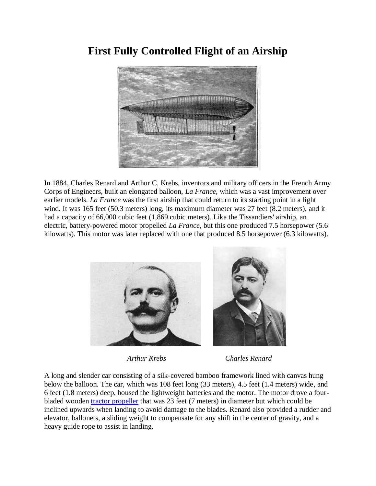

## **First Fully Controlled Flight of an Airship**

In 1884, Charles Renard and Arthur C. Krebs, inventors and military officers in the French Army Corps of Engineers, built an elongated balloon, *La France*, which was a vast improvement over earlier models. *La France* was the first airship that could return to its starting point in a light wind. It was 165 feet (50.3 meters) long, its maximum diameter was 27 feet (8.2 meters), and it had a capacity of 66,000 cubic feet (1,869 cubic meters). Like the Tissandiers' airship, an electric, battery-powered motor propelled *La France*, but this one produced 7.5 horsepower (5.6 kilowatts). This motor was later replaced with one that produced 8.5 horsepower (6.3 kilowatts).



 *Arthur Krebs Charles Renard*

A long and slender car consisting of a silk-covered bamboo framework lined with canvas hung below the balloon. The car, which was 108 feet long (33 meters), 4.5 feet (1.4 meters) wide, and 6 feet (1.8 meters) deep, housed the lightweight batteries and the motor. The motor drove a fourbladed wooden [tractor propeller](http://www.centennialofflight.gov/essay/Dictionary/Propeller_Design/DI62.htm) that was 23 feet (7 meters) in diameter but which could be inclined upwards when landing to avoid damage to the blades. Renard also provided a rudder and elevator, ballonets, a sliding weight to compensate for any shift in the center of gravity, and a heavy guide rope to assist in landing.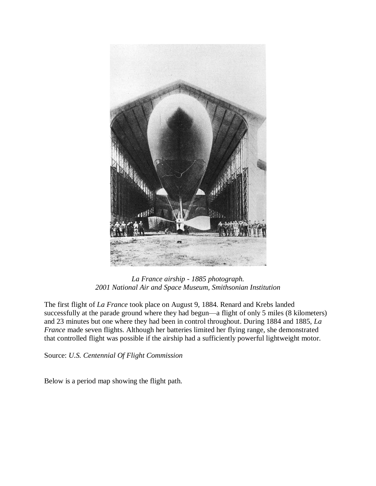

*La France airship - 1885 photograph. 2001 National Air and Space Museum, Smithsonian Institution*

The first flight of *La France* took place on August 9, 1884. Renard and Krebs landed successfully at the parade ground where they had begun—a flight of only 5 miles (8 kilometers) and 23 minutes but one where they had been in control throughout. During 1884 and 1885, *La France* made seven flights. Although her batteries limited her flying range, she demonstrated that controlled flight was possible if the airship had a sufficiently powerful lightweight motor.

Source: *U.S. Centennial Of Flight Commission*

Below is a period map showing the flight path.